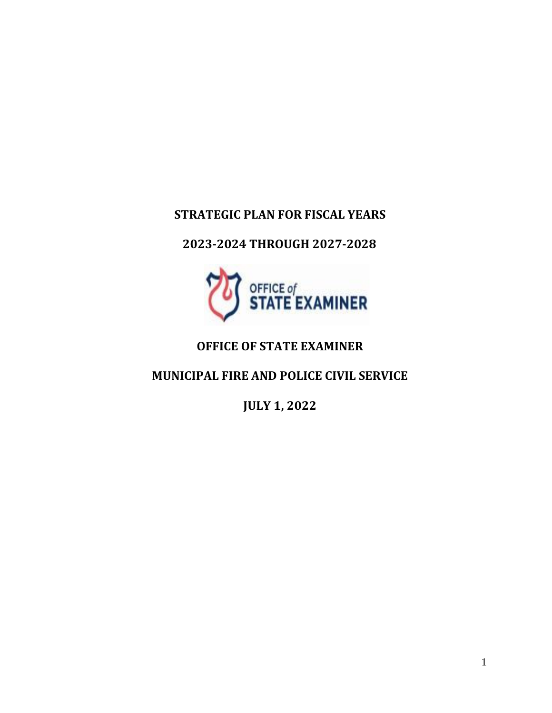# **STRATEGIC PLAN FOR FISCAL YEARS**

# **2023-2024 THROUGH 2027-2028**



# **OFFICE OF STATE EXAMINER**

# **MUNICIPAL FIRE AND POLICE CIVIL SERVICE**

**JULY 1, 2022**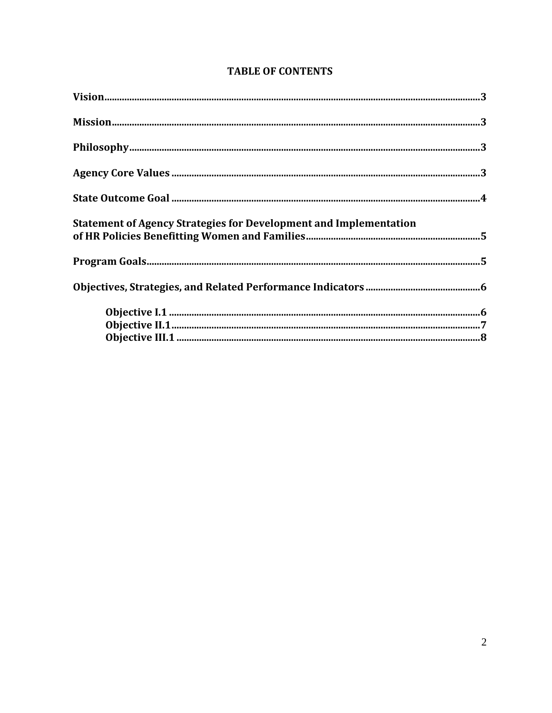| Statement of Agency Strategies for Development and Implementation<br>of HR Policies Benefitting Women and Families…………………………………………………………………………5 |  |
|-------------------------------------------------------------------------------------------------------------------------------------------------|--|
|                                                                                                                                                 |  |
|                                                                                                                                                 |  |
|                                                                                                                                                 |  |

## **TABLE OF CONTENTS**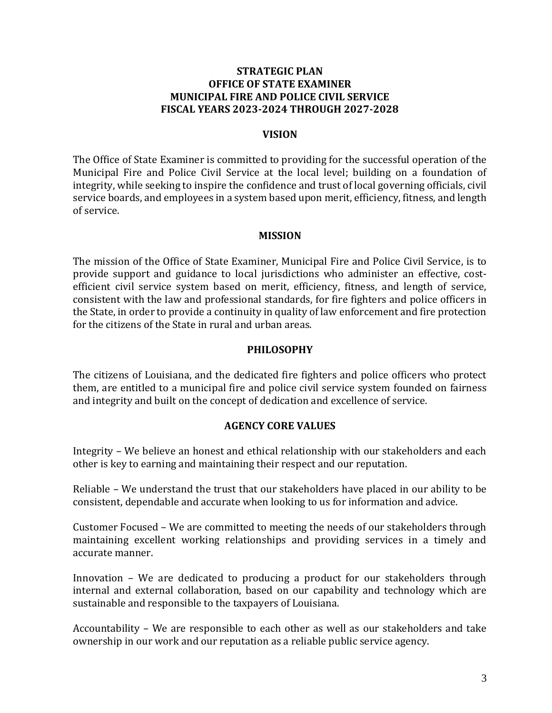### **STRATEGIC PLAN OFFICE OF STATE EXAMINER MUNICIPAL FIRE AND POLICE CIVIL SERVICE FISCAL YEARS 2023-2024 THROUGH 2027-2028**

#### **VISION**

The Office of State Examiner is committed to providing for the successful operation of the Municipal Fire and Police Civil Service at the local level; building on a foundation of integrity, while seeking to inspire the confidence and trust of local governing officials, civil service boards, and employees in a system based upon merit, efficiency, fitness, and length of service.

#### **MISSION**

The mission of the Office of State Examiner, Municipal Fire and Police Civil Service, is to provide support and guidance to local jurisdictions who administer an effective, costefficient civil service system based on merit, efficiency, fitness, and length of service, consistent with the law and professional standards, for fire fighters and police officers in the State, in order to provide a continuity in quality of law enforcement and fire protection for the citizens of the State in rural and urban areas.

#### **PHILOSOPHY**

The citizens of Louisiana, and the dedicated fire fighters and police officers who protect them, are entitled to a municipal fire and police civil service system founded on fairness and integrity and built on the concept of dedication and excellence of service.

#### **AGENCY CORE VALUES**

Integrity – We believe an honest and ethical relationship with our stakeholders and each other is key to earning and maintaining their respect and our reputation.

Reliable – We understand the trust that our stakeholders have placed in our ability to be consistent, dependable and accurate when looking to us for information and advice.

Customer Focused – We are committed to meeting the needs of our stakeholders through maintaining excellent working relationships and providing services in a timely and accurate manner.

Innovation – We are dedicated to producing a product for our stakeholders through internal and external collaboration, based on our capability and technology which are sustainable and responsible to the taxpayers of Louisiana.

Accountability – We are responsible to each other as well as our stakeholders and take ownership in our work and our reputation as a reliable public service agency.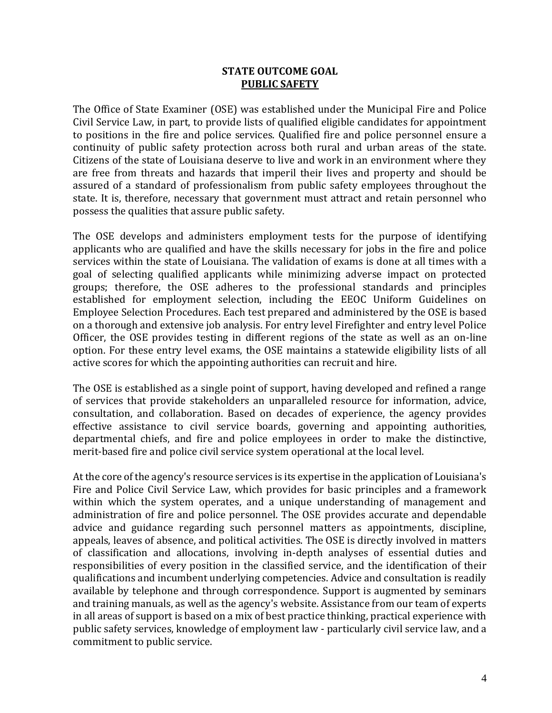### **STATE OUTCOME GOAL PUBLIC SAFETY**

The Office of State Examiner (OSE) was established under the Municipal Fire and Police Civil Service Law, in part, to provide lists of qualified eligible candidates for appointment to positions in the fire and police services. Qualified fire and police personnel ensure a continuity of public safety protection across both rural and urban areas of the state. Citizens of the state of Louisiana deserve to live and work in an environment where they are free from threats and hazards that imperil their lives and property and should be assured of a standard of professionalism from public safety employees throughout the state. It is, therefore, necessary that government must attract and retain personnel who possess the qualities that assure public safety.

The OSE develops and administers employment tests for the purpose of identifying applicants who are qualified and have the skills necessary for jobs in the fire and police services within the state of Louisiana. The validation of exams is done at all times with a goal of selecting qualified applicants while minimizing adverse impact on protected groups; therefore, the OSE adheres to the professional standards and principles established for employment selection, including the EEOC Uniform Guidelines on Employee Selection Procedures. Each test prepared and administered by the OSE is based on a thorough and extensive job analysis. For entry level Firefighter and entry level Police Officer, the OSE provides testing in different regions of the state as well as an on-line option. For these entry level exams, the OSE maintains a statewide eligibility lists of all active scores for which the appointing authorities can recruit and hire.

The OSE is established as a single point of support, having developed and refined a range of services that provide stakeholders an unparalleled resource for information, advice, consultation, and collaboration. Based on decades of experience, the agency provides effective assistance to civil service boards, governing and appointing authorities, departmental chiefs, and fire and police employees in order to make the distinctive, merit-based fire and police civil service system operational at the local level.

At the core of the agency's resource services is its expertise in the application of Louisiana's Fire and Police Civil Service Law, which provides for basic principles and a framework within which the system operates, and a unique understanding of management and administration of fire and police personnel. The OSE provides accurate and dependable advice and guidance regarding such personnel matters as appointments, discipline, appeals, leaves of absence, and political activities. The OSE is directly involved in matters of classification and allocations, involving in-depth analyses of essential duties and responsibilities of every position in the classified service, and the identification of their qualifications and incumbent underlying competencies. Advice and consultation is readily available by telephone and through correspondence. Support is augmented by seminars and training manuals, as well as the agency's website. Assistance from our team of experts in all areas of support is based on a mix of best practice thinking, practical experience with public safety services, knowledge of employment law - particularly civil service law, and a commitment to public service.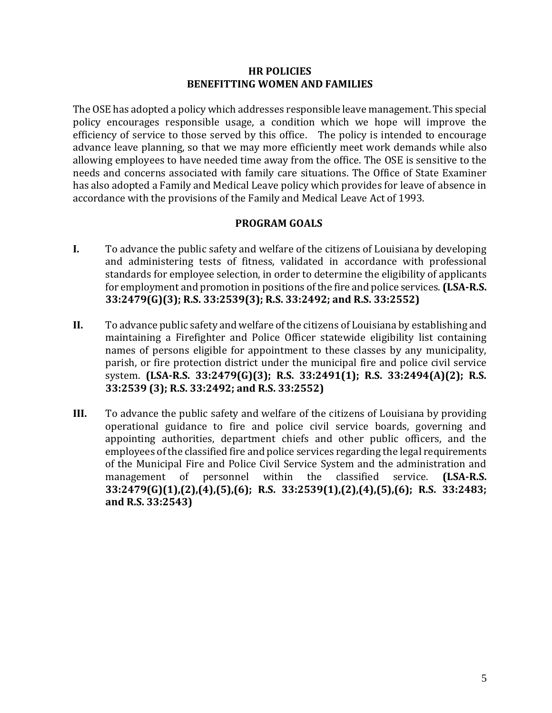#### **HR POLICIES BENEFITTING WOMEN AND FAMILIES**

The OSE has adopted a policy which addresses responsible leave management. This special policy encourages responsible usage, a condition which we hope will improve the efficiency of service to those served by this office. The policy is intended to encourage advance leave planning, so that we may more efficiently meet work demands while also allowing employees to have needed time away from the office. The OSE is sensitive to the needs and concerns associated with family care situations. The Office of State Examiner has also adopted a Family and Medical Leave policy which provides for leave of absence in accordance with the provisions of the Family and Medical Leave Act of 1993.

### **PROGRAM GOALS**

- **I.** To advance the public safety and welfare of the citizens of Louisiana by developing and administering tests of fitness, validated in accordance with professional standards for employee selection, in order to determine the eligibility of applicants for employment and promotion in positions of the fire and police services. **(LSA-R.S. 33:2479(G)(3); R.S. 33:2539(3); R.S. 33:2492; and R.S. 33:2552)**
- **II.** To advance public safety and welfare of the citizens of Louisiana by establishing and maintaining a Firefighter and Police Officer statewide eligibility list containing names of persons eligible for appointment to these classes by any municipality, parish, or fire protection district under the municipal fire and police civil service system. **(LSA-R.S. 33:2479(G)(3); R.S. 33:2491(1); R.S. 33:2494(A)(2); R.S. 33:2539 (3); R.S. 33:2492; and R.S. 33:2552)**
- **III.** To advance the public safety and welfare of the citizens of Louisiana by providing operational guidance to fire and police civil service boards, governing and appointing authorities, department chiefs and other public officers, and the employees of the classified fire and police services regarding the legal requirements of the Municipal Fire and Police Civil Service System and the administration and management of personnel within the classified service. **(LSA-R.S. 33:2479(G)(1),(2),(4),(5),(6); R.S. 33:2539(1),(2),(4),(5),(6); R.S. 33:2483; and R.S. 33:2543)**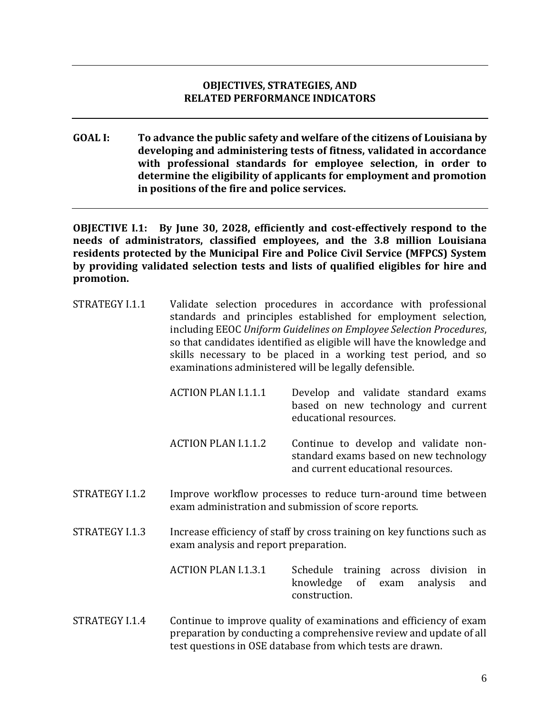### **OBJECTIVES, STRATEGIES, AND RELATED PERFORMANCE INDICATORS**

**GOAL I: To advance the public safety and welfare of the citizens of Louisiana by developing and administering tests of fitness, validated in accordance with professional standards for employee selection, in order to determine the eligibility of applicants for employment and promotion in positions of the fire and police services.**

**OBJECTIVE I.1: By June 30, 2028, efficiently and cost-effectively respond to the needs of administrators, classified employees, and the 3.8 million Louisiana residents protected by the Municipal Fire and Police Civil Service (MFPCS) System by providing validated selection tests and lists of qualified eligibles for hire and promotion.**

- STRATEGY I.1.1 Validate selection procedures in accordance with professional standards and principles established for employment selection, including EEOC *Uniform Guidelines on Employee Selection Procedures*, so that candidates identified as eligible will have the knowledge and skills necessary to be placed in a working test period, and so examinations administered will be legally defensible.
	- ACTION PLAN I.1.1.1 Develop and validate standard exams based on new technology and current educational resources.
	- ACTION PLAN I.1.1.2 Continue to develop and validate nonstandard exams based on new technology and current educational resources.
- STRATEGY I.1.2 Improve workflow processes to reduce turn-around time between exam administration and submission of score reports.
- STRATEGY I.1.3 Increase efficiency of staff by cross training on key functions such as exam analysis and report preparation.
	- ACTION PLAN I.1.3.1 Schedule training across division in knowledge of exam analysis and construction.
- STRATEGY I.1.4 Continue to improve quality of examinations and efficiency of exam preparation by conducting a comprehensive review and update of all test questions in OSE database from which tests are drawn.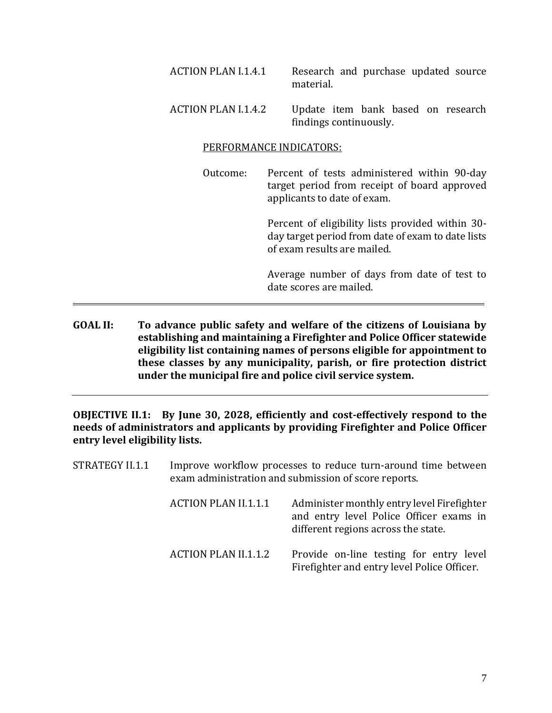| ACTION PLAN I.1.4.1 | Research and purchase updated source<br>material.            |
|---------------------|--------------------------------------------------------------|
| ACTION PLAN I.1.4.2 | Update item bank based on research<br>findings continuously. |

#### PERFORMANCE INDICATORS:

Outcome: Percent of tests administered within 90-day target period from receipt of board approved applicants to date of exam.

> Percent of eligibility lists provided within 30 day target period from date of exam to date lists of exam results are mailed.

> Average number of days from date of test to date scores are mailed.

**GOAL II: To advance public safety and welfare of the citizens of Louisiana by establishing and maintaining a Firefighter and Police Officer statewide eligibility list containing names of persons eligible for appointment to these classes by any municipality, parish, or fire protection district under the municipal fire and police civil service system.**

**OBJECTIVE II.1: By June 30, 2028, efficiently and cost-effectively respond to the needs of administrators and applicants by providing Firefighter and Police Officer entry level eligibility lists.**

STRATEGY II.1.1 Improve workflow processes to reduce turn-around time between exam administration and submission of score reports. ACTION PLAN II.1.1.1 Administer monthly entry level Firefighter and entry level Police Officer exams in different regions across the state. ACTION PLAN II.1.1.2 Provide on-line testing for entry level Firefighter and entry level Police Officer.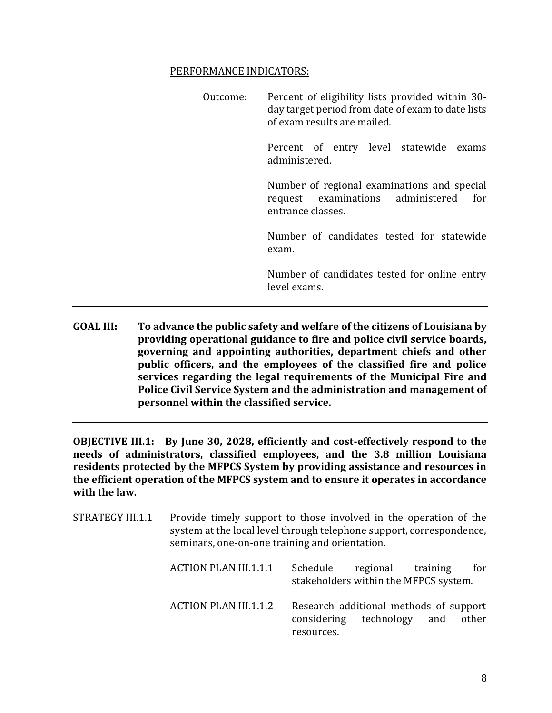#### PERFORMANCE INDICATORS:

| Outcome: | Percent of eligibility lists provided within 30-<br>day target period from date of exam to date lists<br>of exam results are mailed. |
|----------|--------------------------------------------------------------------------------------------------------------------------------------|
|          | Percent of entry level statewide exams<br>administered.                                                                              |
|          | Number of regional examinations and special<br>request examinations administered for<br>entrance classes.                            |
|          | Number of candidates tested for statewide<br>exam.                                                                                   |
|          | Number of candidates tested for online entry<br>level exams.                                                                         |

**GOAL III: To advance the public safety and welfare of the citizens of Louisiana by providing operational guidance to fire and police civil service boards, governing and appointing authorities, department chiefs and other public officers, and the employees of the classified fire and police services regarding the legal requirements of the Municipal Fire and Police Civil Service System and the administration and management of personnel within the classified service.**

**OBJECTIVE III.1: By June 30, 2028, efficiently and cost-effectively respond to the needs of administrators, classified employees, and the 3.8 million Louisiana residents protected by the MFPCS System by providing assistance and resources in the efficient operation of the MFPCS system and to ensure it operates in accordance with the law.**

| STRATEGY III.1.1 | seminars, one-on-one training and orientation. | Provide timely support to those involved in the operation of the<br>system at the local level through telephone support, correspondence, |
|------------------|------------------------------------------------|------------------------------------------------------------------------------------------------------------------------------------------|
|                  | <b>ACTION PLAN III.1.1.1</b>                   | Schedule<br>regional<br>training<br>for<br>stakeholders within the MFPCS system.                                                         |
|                  | <b>ACTION PLAN III.1.1.2</b>                   | Research additional methods of support<br>considering technology<br>other<br>and<br>resources.                                           |